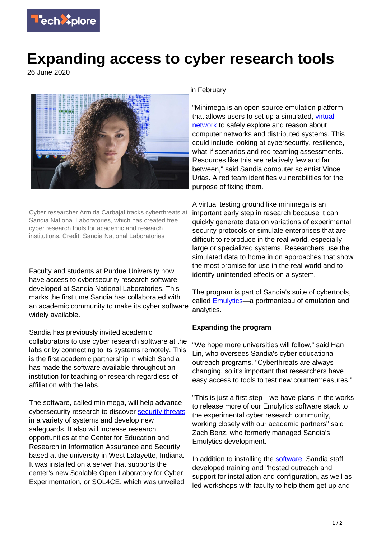

## **Expanding access to cyber research tools**

26 June 2020



Cyber researcher Armida Carbajal tracks cyberthreats at Sandia National Laboratories, which has created free cyber research tools for academic and research institutions. Credit: Sandia National Laboratories

Faculty and students at Purdue University now have access to cybersecurity research software developed at Sandia National Laboratories. This marks the first time Sandia has collaborated with an academic community to make its cyber software widely available.

Sandia has previously invited academic collaborators to use cyber research software at the labs or by connecting to its systems remotely. This is the first academic partnership in which Sandia has made the software available throughout an institution for teaching or research regardless of affiliation with the labs.

The software, called minimega, will help advance cybersecurity research to discover **security threats** in a variety of systems and develop new safeguards. It also will increase research opportunities at the Center for Education and Research in Information Assurance and Security, based at the university in West Lafayette, Indiana. It was installed on a server that supports the center's new Scalable Open Laboratory for Cyber Experimentation, or SOL4CE, which was unveiled

in February.

"Minimega is an open-source emulation platform that allows users to set up a simulated, [virtual](https://techxplore.com/tags/virtual+network/) [network](https://techxplore.com/tags/virtual+network/) to safely explore and reason about computer networks and distributed systems. This could include looking at cybersecurity, resilience, what-if scenarios and red-teaming assessments. Resources like this are relatively few and far between," said Sandia computer scientist Vince Urias. A red team identifies vulnerabilities for the purpose of fixing them.

A virtual testing ground like minimega is an important early step in research because it can quickly generate data on variations of experimental security protocols or simulate enterprises that are difficult to reproduce in the real world, especially large or specialized systems. Researchers use the simulated data to home in on approaches that show the most promise for use in the real world and to identify unintended effects on a system.

The program is part of Sandia's suite of cybertools, called [Emulytics](https://www.sandia.gov/emulytics/)—a portmanteau of emulation and analytics.

## **Expanding the program**

"We hope more universities will follow," said Han Lin, who oversees Sandia's cyber educational outreach programs. "Cyberthreats are always changing, so it's important that researchers have easy access to tools to test new countermeasures."

"This is just a first step—we have plans in the works to release more of our Emulytics software stack to the experimental cyber research community, working closely with our academic partners" said Zach Benz, who formerly managed Sandia's Emulytics development.

In addition to installing the [software](https://techxplore.com/tags/software/). Sandia staff developed training and "hosted outreach and support for installation and configuration, as well as led workshops with faculty to help them get up and